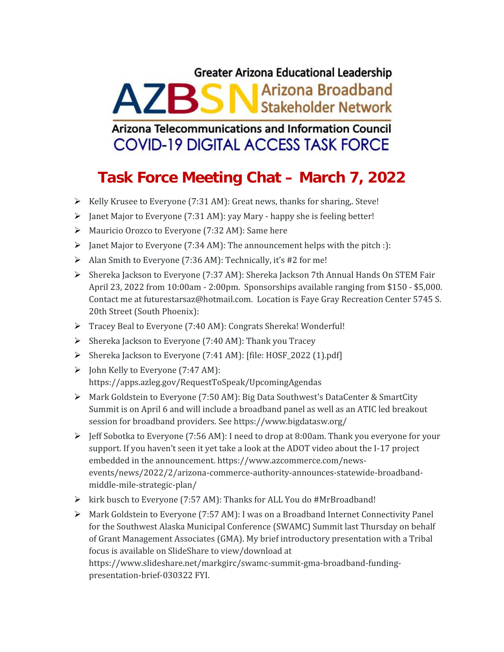## **Greater Arizona Educational Leadership AZBSN** Arizona Broadband

Arizona Telecommunications and Information Council **COVID-19 DIGITAL ACCESS TASK FORCE** 

## **Task Force Meeting Chat – March 7, 2022**

- $\triangleright$  Kelly Krusee to Everyone (7:31 AM): Great news, thanks for sharing,. Steve!
- > Janet Major to Everyone (7:31 AM): yay Mary happy she is feeling better!
- Mauricio Orozco to Everyone (7:32 AM): Same here
- $\triangleright$  Janet Major to Everyone (7:34 AM): The announcement helps with the pitch :):
- Alan Smith to Everyone (7:36 AM): Technically, it's #2 for me!
- Shereka Jackson to Everyone (7:37 AM): Shereka Jackson 7th Annual Hands On STEM Fair April 23, 2022 from 10:00am - 2:00pm. Sponsorships available ranging from \$150 - \$5,000. Contact me at futurestarsaz@hotmail.com. Location is Faye Gray Recreation Center 5745 S. 20th Street (South Phoenix):
- Tracey Beal to Everyone (7:40 AM): Congrats Shereka! Wonderful!
- $\triangleright$  Shereka Jackson to Everyone (7:40 AM): Thank you Tracey
- $\triangleright$  Shereka Jackson to Everyone (7:41 AM): [file: HOSF\_2022 (1).pdf]
- $\triangleright$  John Kelly to Everyone (7:47 AM): https://apps.azleg.gov/RequestToSpeak/UpcomingAgendas
- $\triangleright$  Mark Goldstein to Everyone (7:50 AM): Big Data Southwest's DataCenter & SmartCity Summit is on April 6 and will include a broadband panel as well as an ATIC led breakout session for broadband providers. See https://www.bigdatasw.org/
- $\triangleright$  Jeff Sobotka to Everyone (7:56 AM): I need to drop at 8:00am. Thank you everyone for your support. If you haven't seen it yet take a look at the ADOT video about the I-17 project embedded in the announcement. https://www.azcommerce.com/news events/news/2022/2/arizona-commerce-authority-announces-statewide-broadband middle-mile-strategic-plan/
- $\triangleright$  kirk busch to Everyone (7:57 AM): Thanks for ALL You do #MrBroadband!
- $\triangleright$  Mark Goldstein to Everyone (7:57 AM): I was on a Broadband Internet Connectivity Panel for the Southwest Alaska Municipal Conference (SWAMC) Summit last Thursday on behalf of Grant Management Associates (GMA). My brief introductory presentation with a Tribal focus is available on SlideShare to view/download at

https://www.slideshare.net/markgirc/swamc-summit-gma-broadband-funding presentation-brief-030322 FYI.